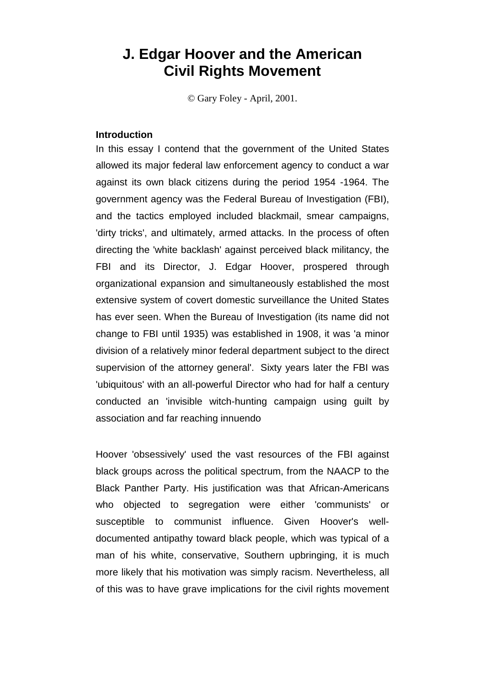# **J. Edgar Hoover and the American Civil Rights Movement**

© Gary Foley - April, 2001.

# **Introduction**

In this essay I contend that the government of the United States allowed its major federal law enforcement agency to conduct a war against its own black citizens during the period 1954 -1964. The government agency was the Federal Bureau of Investigation (FBI), and the tactics employed included blackmail, smear campaigns, 'dirty tricks', and ultimately, armed attacks. In the process of often directing the 'white backlash' against perceived black militancy, the FBI and its Director, J. Edgar Hoover, prospered through organizational expansion and simultaneously established the most extensive system of covert domestic surveillance the United States has ever seen. When the Bureau of Investigation (its name did not change to FBI until 1935) was established in 1908, it was 'a minor division of a relatively minor federal department subject to the direct supervision of the attorney general'. Sixty years later the FBI was 'ubiquitous' with an all-powerful Director who had for half a century conducted an 'invisible witch-hunting campaign using guilt by association and far reaching innuendo

Hoover 'obsessively' used the vast resources of the FBI against black groups across the political spectrum, from the NAACP to the Black Panther Party. His justification was that African-Americans who objected to segregation were either 'communists' or susceptible to communist influence. Given Hoover's welldocumented antipathy toward black people, which was typical of a man of his white, conservative, Southern upbringing, it is much more likely that his motivation was simply racism. Nevertheless, all of this was to have grave implications for the civil rights movement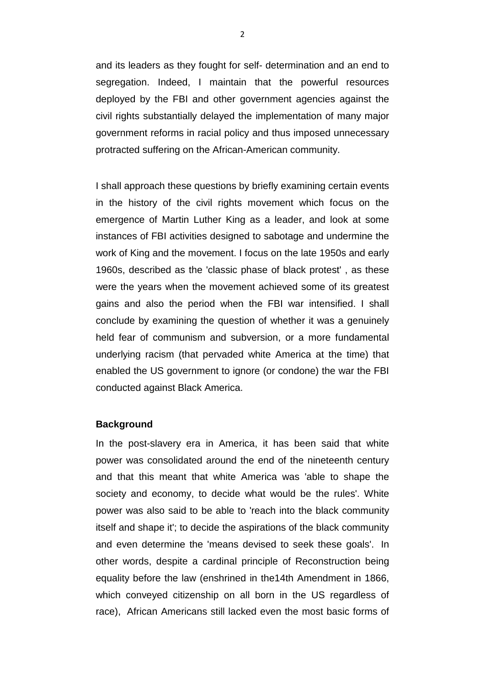and its leaders as they fought for self- determination and an end to segregation. Indeed, I maintain that the powerful resources deployed by the FBI and other government agencies against the civil rights substantially delayed the implementation of many major government reforms in racial policy and thus imposed unnecessary protracted suffering on the African-American community.

I shall approach these questions by briefly examining certain events in the history of the civil rights movement which focus on the emergence of Martin Luther King as a leader, and look at some instances of FBI activities designed to sabotage and undermine the work of King and the movement. I focus on the late 1950s and early 1960s, described as the 'classic phase of black protest' , as these were the years when the movement achieved some of its greatest gains and also the period when the FBI war intensified. I shall conclude by examining the question of whether it was a genuinely held fear of communism and subversion, or a more fundamental underlying racism (that pervaded white America at the time) that enabled the US government to ignore (or condone) the war the FBI conducted against Black America.

# **Background**

In the post-slavery era in America, it has been said that white power was consolidated around the end of the nineteenth century and that this meant that white America was 'able to shape the society and economy, to decide what would be the rules'. White power was also said to be able to 'reach into the black community itself and shape it'; to decide the aspirations of the black community and even determine the 'means devised to seek these goals'. In other words, despite a cardinal principle of Reconstruction being equality before the law (enshrined in the14th Amendment in 1866, which conveyed citizenship on all born in the US regardless of race), African Americans still lacked even the most basic forms of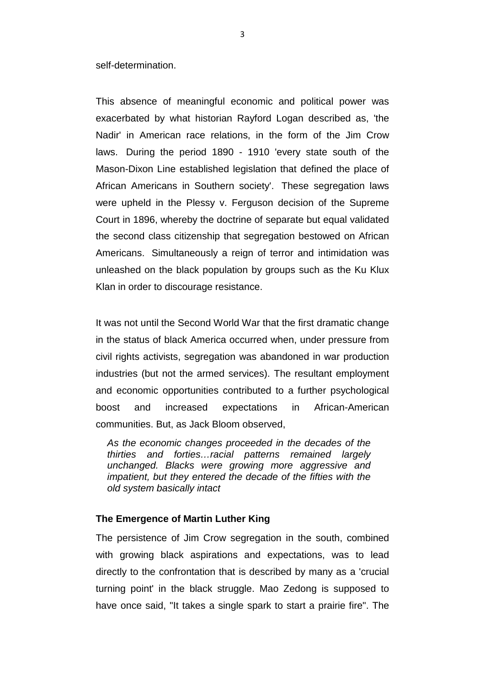self-determination.

This absence of meaningful economic and political power was exacerbated by what historian Rayford Logan described as, 'the Nadir' in American race relations, in the form of the Jim Crow laws. During the period 1890 - 1910 'every state south of the Mason-Dixon Line established legislation that defined the place of African Americans in Southern society'. These segregation laws were upheld in the Plessy v. Ferguson decision of the Supreme Court in 1896, whereby the doctrine of separate but equal validated the second class citizenship that segregation bestowed on African Americans. Simultaneously a reign of terror and intimidation was unleashed on the black population by groups such as the Ku Klux Klan in order to discourage resistance.

It was not until the Second World War that the first dramatic change in the status of black America occurred when, under pressure from civil rights activists, segregation was abandoned in war production industries (but not the armed services). The resultant employment and economic opportunities contributed to a further psychological boost and increased expectations in African-American communities. But, as Jack Bloom observed,

*As the economic changes proceeded in the decades of the thirties and forties…racial patterns remained largely unchanged. Blacks were growing more aggressive and impatient, but they entered the decade of the fifties with the old system basically intact*

## **The Emergence of Martin Luther King**

The persistence of Jim Crow segregation in the south, combined with growing black aspirations and expectations, was to lead directly to the confrontation that is described by many as a 'crucial turning point' in the black struggle. Mao Zedong is supposed to have once said, "It takes a single spark to start a prairie fire". The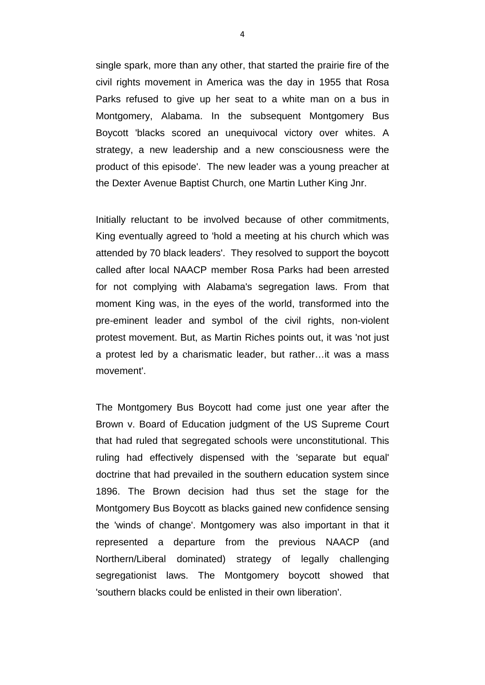single spark, more than any other, that started the prairie fire of the civil rights movement in America was the day in 1955 that Rosa Parks refused to give up her seat to a white man on a bus in Montgomery, Alabama. In the subsequent Montgomery Bus Boycott 'blacks scored an unequivocal victory over whites. A strategy, a new leadership and a new consciousness were the product of this episode'. The new leader was a young preacher at the Dexter Avenue Baptist Church, one Martin Luther King Jnr.

Initially reluctant to be involved because of other commitments, King eventually agreed to 'hold a meeting at his church which was attended by 70 black leaders'. They resolved to support the boycott called after local NAACP member Rosa Parks had been arrested for not complying with Alabama's segregation laws. From that moment King was, in the eyes of the world, transformed into the pre-eminent leader and symbol of the civil rights, non-violent protest movement. But, as Martin Riches points out, it was 'not just a protest led by a charismatic leader, but rather…it was a mass movement'.

The Montgomery Bus Boycott had come just one year after the Brown v. Board of Education judgment of the US Supreme Court that had ruled that segregated schools were unconstitutional. This ruling had effectively dispensed with the 'separate but equal' doctrine that had prevailed in the southern education system since 1896. The Brown decision had thus set the stage for the Montgomery Bus Boycott as blacks gained new confidence sensing the 'winds of change'. Montgomery was also important in that it represented a departure from the previous NAACP (and Northern/Liberal dominated) strategy of legally challenging segregationist laws. The Montgomery boycott showed that 'southern blacks could be enlisted in their own liberation'.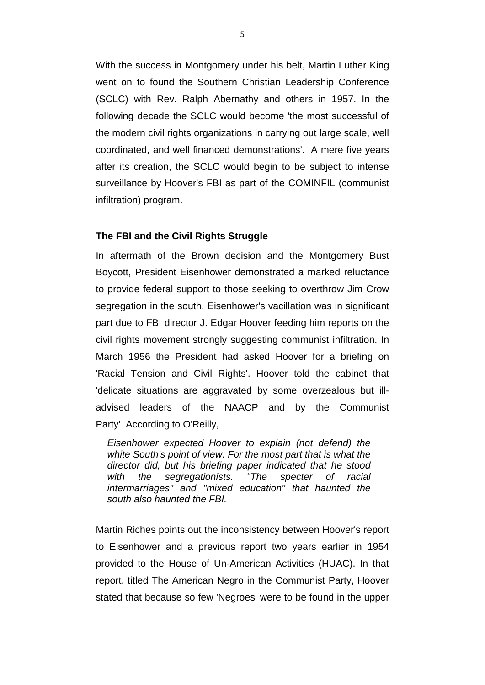With the success in Montgomery under his belt, Martin Luther King went on to found the Southern Christian Leadership Conference (SCLC) with Rev. Ralph Abernathy and others in 1957. In the following decade the SCLC would become 'the most successful of the modern civil rights organizations in carrying out large scale, well coordinated, and well financed demonstrations'. A mere five years after its creation, the SCLC would begin to be subject to intense surveillance by Hoover's FBI as part of the COMINFIL (communist infiltration) program.

# **The FBI and the Civil Rights Struggle**

In aftermath of the Brown decision and the Montgomery Bust Boycott, President Eisenhower demonstrated a marked reluctance to provide federal support to those seeking to overthrow Jim Crow segregation in the south. Eisenhower's vacillation was in significant part due to FBI director J. Edgar Hoover feeding him reports on the civil rights movement strongly suggesting communist infiltration. In March 1956 the President had asked Hoover for a briefing on 'Racial Tension and Civil Rights'. Hoover told the cabinet that 'delicate situations are aggravated by some overzealous but illadvised leaders of the NAACP and by the Communist Party' According to O'Reilly,

*Eisenhower expected Hoover to explain (not defend) the white South's point of view. For the most part that is what the director did, but his briefing paper indicated that he stood with the segregationists. "The specter of racial intermarriages" and "mixed education" that haunted the south also haunted the FBI.*

Martin Riches points out the inconsistency between Hoover's report to Eisenhower and a previous report two years earlier in 1954 provided to the House of Un-American Activities (HUAC). In that report, titled The American Negro in the Communist Party, Hoover stated that because so few 'Negroes' were to be found in the upper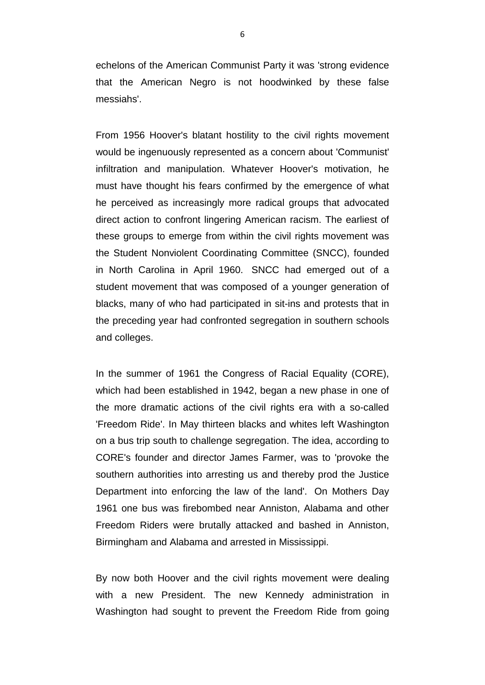echelons of the American Communist Party it was 'strong evidence that the American Negro is not hoodwinked by these false messiahs'.

From 1956 Hoover's blatant hostility to the civil rights movement would be ingenuously represented as a concern about 'Communist' infiltration and manipulation. Whatever Hoover's motivation, he must have thought his fears confirmed by the emergence of what he perceived as increasingly more radical groups that advocated direct action to confront lingering American racism. The earliest of these groups to emerge from within the civil rights movement was the Student Nonviolent Coordinating Committee (SNCC), founded in North Carolina in April 1960. SNCC had emerged out of a student movement that was composed of a younger generation of blacks, many of who had participated in sit-ins and protests that in the preceding year had confronted segregation in southern schools and colleges.

In the summer of 1961 the Congress of Racial Equality (CORE), which had been established in 1942, began a new phase in one of the more dramatic actions of the civil rights era with a so-called 'Freedom Ride'. In May thirteen blacks and whites left Washington on a bus trip south to challenge segregation. The idea, according to CORE's founder and director James Farmer, was to 'provoke the southern authorities into arresting us and thereby prod the Justice Department into enforcing the law of the land'. On Mothers Day 1961 one bus was firebombed near Anniston, Alabama and other Freedom Riders were brutally attacked and bashed in Anniston, Birmingham and Alabama and arrested in Mississippi.

By now both Hoover and the civil rights movement were dealing with a new President. The new Kennedy administration in Washington had sought to prevent the Freedom Ride from going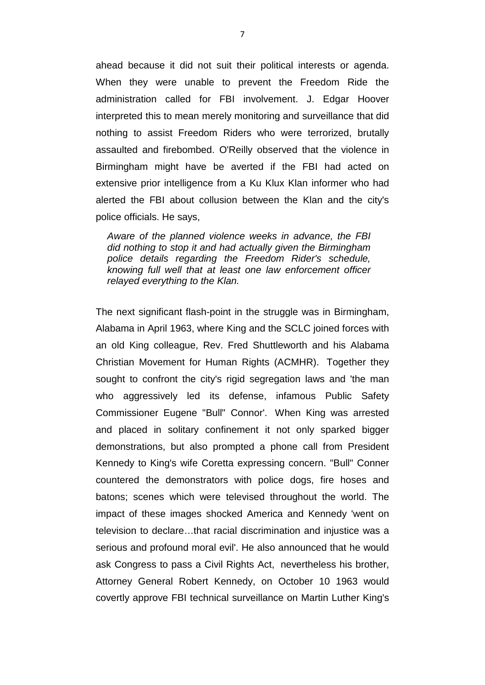ahead because it did not suit their political interests or agenda. When they were unable to prevent the Freedom Ride the administration called for FBI involvement. J. Edgar Hoover interpreted this to mean merely monitoring and surveillance that did nothing to assist Freedom Riders who were terrorized, brutally assaulted and firebombed. O'Reilly observed that the violence in Birmingham might have be averted if the FBI had acted on extensive prior intelligence from a Ku Klux Klan informer who had alerted the FBI about collusion between the Klan and the city's police officials. He says,

*Aware of the planned violence weeks in advance, the FBI did nothing to stop it and had actually given the Birmingham police details regarding the Freedom Rider's schedule, knowing full well that at least one law enforcement officer relayed everything to the Klan.*

The next significant flash-point in the struggle was in Birmingham, Alabama in April 1963, where King and the SCLC joined forces with an old King colleague, Rev. Fred Shuttleworth and his Alabama Christian Movement for Human Rights (ACMHR). Together they sought to confront the city's rigid segregation laws and 'the man who aggressively led its defense, infamous Public Safety Commissioner Eugene "Bull" Connor'. When King was arrested and placed in solitary confinement it not only sparked bigger demonstrations, but also prompted a phone call from President Kennedy to King's wife Coretta expressing concern. "Bull" Conner countered the demonstrators with police dogs, fire hoses and batons; scenes which were televised throughout the world. The impact of these images shocked America and Kennedy 'went on television to declare…that racial discrimination and injustice was a serious and profound moral evil'. He also announced that he would ask Congress to pass a Civil Rights Act, nevertheless his brother, Attorney General Robert Kennedy, on October 10 1963 would covertly approve FBI technical surveillance on Martin Luther King's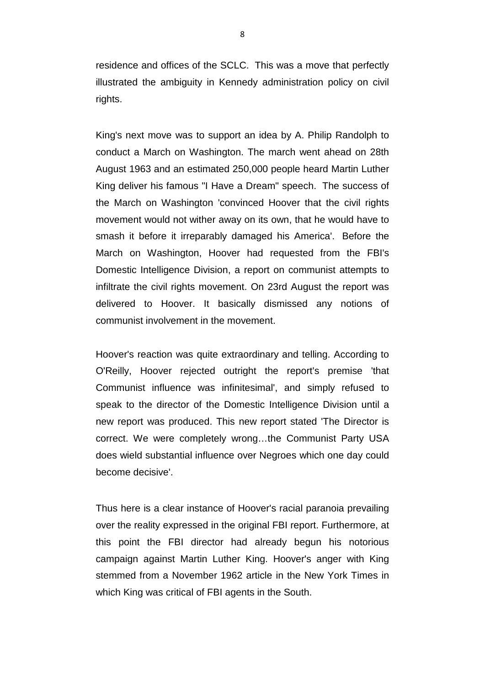residence and offices of the SCLC. This was a move that perfectly illustrated the ambiguity in Kennedy administration policy on civil rights.

King's next move was to support an idea by A. Philip Randolph to conduct a March on Washington. The march went ahead on 28th August 1963 and an estimated 250,000 people heard Martin Luther King deliver his famous "I Have a Dream" speech. The success of the March on Washington 'convinced Hoover that the civil rights movement would not wither away on its own, that he would have to smash it before it irreparably damaged his America'. Before the March on Washington, Hoover had requested from the FBI's Domestic Intelligence Division, a report on communist attempts to infiltrate the civil rights movement. On 23rd August the report was delivered to Hoover. It basically dismissed any notions of communist involvement in the movement.

Hoover's reaction was quite extraordinary and telling. According to O'Reilly, Hoover rejected outright the report's premise 'that Communist influence was infinitesimal', and simply refused to speak to the director of the Domestic Intelligence Division until a new report was produced. This new report stated 'The Director is correct. We were completely wrong…the Communist Party USA does wield substantial influence over Negroes which one day could become decisive'.

Thus here is a clear instance of Hoover's racial paranoia prevailing over the reality expressed in the original FBI report. Furthermore, at this point the FBI director had already begun his notorious campaign against Martin Luther King. Hoover's anger with King stemmed from a November 1962 article in the New York Times in which King was critical of FBI agents in the South.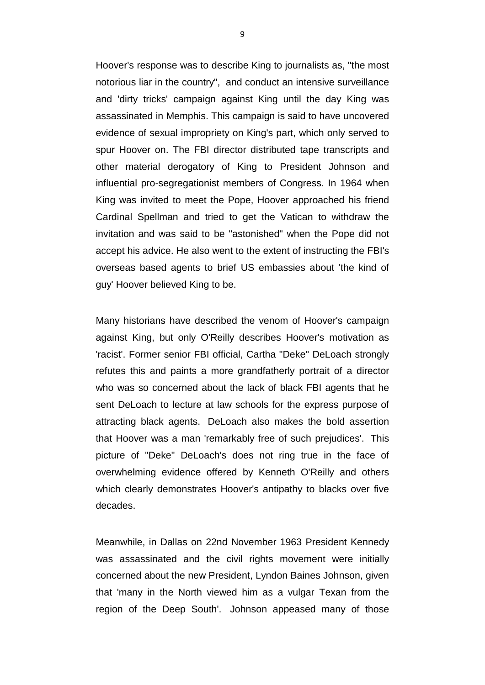Hoover's response was to describe King to journalists as, "the most notorious liar in the country", and conduct an intensive surveillance and 'dirty tricks' campaign against King until the day King was assassinated in Memphis. This campaign is said to have uncovered evidence of sexual impropriety on King's part, which only served to spur Hoover on. The FBI director distributed tape transcripts and other material derogatory of King to President Johnson and influential pro-segregationist members of Congress. In 1964 when King was invited to meet the Pope, Hoover approached his friend Cardinal Spellman and tried to get the Vatican to withdraw the invitation and was said to be "astonished" when the Pope did not accept his advice. He also went to the extent of instructing the FBI's overseas based agents to brief US embassies about 'the kind of guy' Hoover believed King to be.

Many historians have described the venom of Hoover's campaign against King, but only O'Reilly describes Hoover's motivation as 'racist'. Former senior FBI official, Cartha "Deke" DeLoach strongly refutes this and paints a more grandfatherly portrait of a director who was so concerned about the lack of black FBI agents that he sent DeLoach to lecture at law schools for the express purpose of attracting black agents. DeLoach also makes the bold assertion that Hoover was a man 'remarkably free of such prejudices'. This picture of "Deke" DeLoach's does not ring true in the face of overwhelming evidence offered by Kenneth O'Reilly and others which clearly demonstrates Hoover's antipathy to blacks over five decades.

Meanwhile, in Dallas on 22nd November 1963 President Kennedy was assassinated and the civil rights movement were initially concerned about the new President, Lyndon Baines Johnson, given that 'many in the North viewed him as a vulgar Texan from the region of the Deep South'. Johnson appeased many of those

9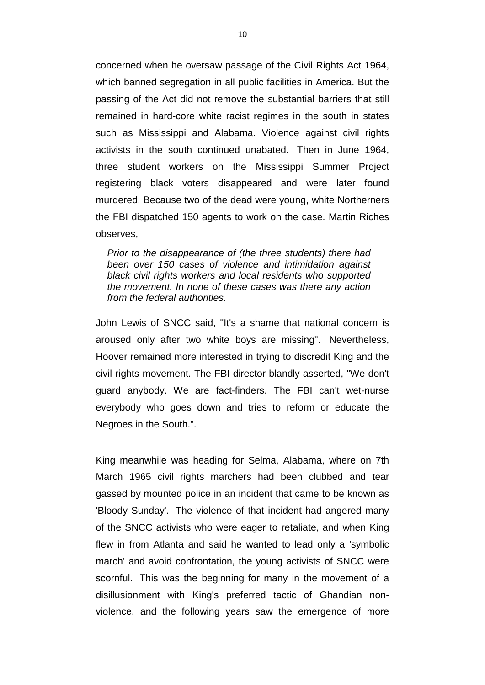concerned when he oversaw passage of the Civil Rights Act 1964, which banned segregation in all public facilities in America. But the passing of the Act did not remove the substantial barriers that still remained in hard-core white racist regimes in the south in states such as Mississippi and Alabama. Violence against civil rights activists in the south continued unabated. Then in June 1964, three student workers on the Mississippi Summer Project registering black voters disappeared and were later found murdered. Because two of the dead were young, white Northerners the FBI dispatched 150 agents to work on the case. Martin Riches observes,

*Prior to the disappearance of (the three students) there had been over 150 cases of violence and intimidation against black civil rights workers and local residents who supported the movement. In none of these cases was there any action from the federal authorities.*

John Lewis of SNCC said, "It's a shame that national concern is aroused only after two white boys are missing". Nevertheless, Hoover remained more interested in trying to discredit King and the civil rights movement. The FBI director blandly asserted, "We don't guard anybody. We are fact-finders. The FBI can't wet-nurse everybody who goes down and tries to reform or educate the Negroes in the South.".

King meanwhile was heading for Selma, Alabama, where on 7th March 1965 civil rights marchers had been clubbed and tear gassed by mounted police in an incident that came to be known as 'Bloody Sunday'. The violence of that incident had angered many of the SNCC activists who were eager to retaliate, and when King flew in from Atlanta and said he wanted to lead only a 'symbolic march' and avoid confrontation, the young activists of SNCC were scornful. This was the beginning for many in the movement of a disillusionment with King's preferred tactic of Ghandian nonviolence, and the following years saw the emergence of more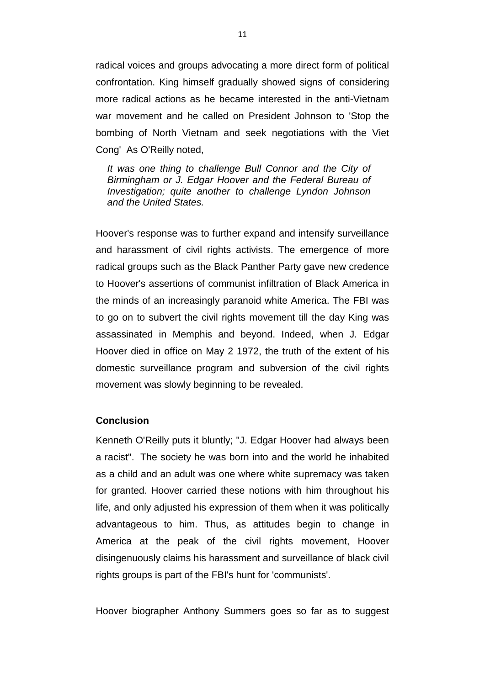radical voices and groups advocating a more direct form of political confrontation. King himself gradually showed signs of considering more radical actions as he became interested in the anti-Vietnam war movement and he called on President Johnson to 'Stop the bombing of North Vietnam and seek negotiations with the Viet Cong' As O'Reilly noted,

*It was one thing to challenge Bull Connor and the City of Birmingham or J. Edgar Hoover and the Federal Bureau of Investigation; quite another to challenge Lyndon Johnson and the United States.*

Hoover's response was to further expand and intensify surveillance and harassment of civil rights activists. The emergence of more radical groups such as the Black Panther Party gave new credence to Hoover's assertions of communist infiltration of Black America in the minds of an increasingly paranoid white America. The FBI was to go on to subvert the civil rights movement till the day King was assassinated in Memphis and beyond. Indeed, when J. Edgar Hoover died in office on May 2 1972, the truth of the extent of his domestic surveillance program and subversion of the civil rights movement was slowly beginning to be revealed.

# **Conclusion**

Kenneth O'Reilly puts it bluntly; "J. Edgar Hoover had always been a racist". The society he was born into and the world he inhabited as a child and an adult was one where white supremacy was taken for granted. Hoover carried these notions with him throughout his life, and only adjusted his expression of them when it was politically advantageous to him. Thus, as attitudes begin to change in America at the peak of the civil rights movement, Hoover disingenuously claims his harassment and surveillance of black civil rights groups is part of the FBI's hunt for 'communists'.

Hoover biographer Anthony Summers goes so far as to suggest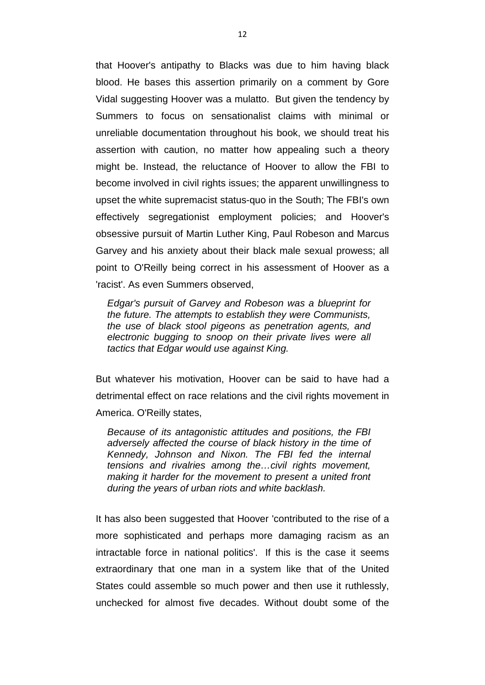that Hoover's antipathy to Blacks was due to him having black blood. He bases this assertion primarily on a comment by Gore Vidal suggesting Hoover was a mulatto. But given the tendency by Summers to focus on sensationalist claims with minimal or unreliable documentation throughout his book, we should treat his assertion with caution, no matter how appealing such a theory might be. Instead, the reluctance of Hoover to allow the FBI to become involved in civil rights issues; the apparent unwillingness to upset the white supremacist status-quo in the South; The FBI's own effectively segregationist employment policies; and Hoover's obsessive pursuit of Martin Luther King, Paul Robeson and Marcus Garvey and his anxiety about their black male sexual prowess; all point to O'Reilly being correct in his assessment of Hoover as a 'racist'. As even Summers observed,

*Edgar's pursuit of Garvey and Robeson was a blueprint for the future. The attempts to establish they were Communists, the use of black stool pigeons as penetration agents, and electronic bugging to snoop on their private lives were all tactics that Edgar would use against King.*

But whatever his motivation, Hoover can be said to have had a detrimental effect on race relations and the civil rights movement in America. O'Reilly states,

*Because of its antagonistic attitudes and positions, the FBI adversely affected the course of black history in the time of Kennedy, Johnson and Nixon. The FBI fed the internal tensions and rivalries among the…civil rights movement, making it harder for the movement to present a united front during the years of urban riots and white backlash.*

It has also been suggested that Hoover 'contributed to the rise of a more sophisticated and perhaps more damaging racism as an intractable force in national politics'. If this is the case it seems extraordinary that one man in a system like that of the United States could assemble so much power and then use it ruthlessly, unchecked for almost five decades. Without doubt some of the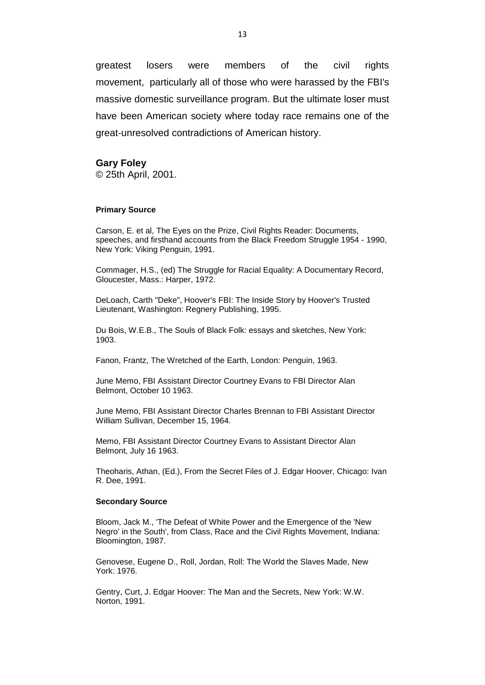greatest losers were members of the civil rights movement, particularly all of those who were harassed by the FBI's massive domestic surveillance program. But the ultimate loser must have been American society where today race remains one of the great-unresolved contradictions of American history.

## **Gary Foley**

© 25th April, 2001.

#### **Primary Source**

Carson, E. et al, The Eyes on the Prize, Civil Rights Reader: Documents, speeches, and firsthand accounts from the Black Freedom Struggle 1954 - 1990, New York: Viking Penguin, 1991.

Commager, H.S., (ed) The Struggle for Racial Equality: A Documentary Record, Gloucester, Mass.: Harper, 1972.

DeLoach, Carth "Deke", Hoover's FBI: The Inside Story by Hoover's Trusted Lieutenant, Washington: Regnery Publishing, 1995.

Du Bois, W.E.B., The Souls of Black Folk: essays and sketches, New York: 1903.

Fanon, Frantz, The Wretched of the Earth, London: Penguin, 1963.

June Memo, FBI Assistant Director Courtney Evans to FBI Director Alan Belmont, October 10 1963.

June Memo, FBI Assistant Director Charles Brennan to FBI Assistant Director William Sullivan, December 15, 1964.

Memo, FBI Assistant Director Courtney Evans to Assistant Director Alan Belmont, July 16 1963.

Theoharis, Athan, (Ed.), From the Secret Files of J. Edgar Hoover, Chicago: Ivan R. Dee, 1991.

#### **Secondary Source**

Bloom, Jack M., 'The Defeat of White Power and the Emergence of the 'New Negro' in the South', from Class, Race and the Civil Rights Movement, Indiana: Bloomington, 1987.

Genovese, Eugene D., Roll, Jordan, Roll: The World the Slaves Made, New York: 1976.

Gentry, Curt, J. Edgar Hoover: The Man and the Secrets, New York: W.W. Norton, 1991.